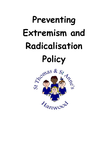# **Preventing Extremism and Radicalisation Policy**

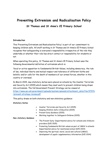## **Preventing Extremism and Radicalisation Policy St Thomas and St Anne's CE Primary School**

#### **Introduction**

This "Preventing Extremism and Radicalisation Policy" is part of our commitment to keeping children safe. All staff working in St Thomas and St Anne"s CE Primary School recognise that safeguarding is everyone's responsibility irrespective of the role they undertake or whether their role has direct contact or responsibility for students or not.

When operating this policy, St Thomas and St Anne's CE Primary School uses the following Governmental definition of extremism which is:

"Vocal or active opposition to fundamental British Values, including democracy, the rule of law, individual liberty and mutual respect and tolerance of different faiths and beliefs; and/or calls for the death of members of our armed forces, whether in this country or overseas".

In March 2015, new statutory duties were placed on schools by the Counter Terrorism and Security Act (2015) which means they must work to prevent children being drawn into extremism. The full Government Prevent Strategy can be viewed at [https://www.gov.uk/government/uploads/system/uploads/attachment\\_data/file/97976](https://www.gov.uk/government/uploads/system/uploads/attachment_data/file/97976/prevent-strategy-review.pdf) [/prevent-strategy-review.pdf](https://www.gov.uk/government/uploads/system/uploads/attachment_data/file/97976/prevent-strategy-review.pdf)

This policy draws on both statutory and non-statutory guidance:

#### **Statutory Duties**

- Counter Terrorism and Security Act (2015)
- Keeping Children Safe in Education (2015)
- Prevent Duty Guidance (2015)
- Working together to Safeguard Children (2015)

**Non-statutory Guidance**

- The Prevent Duty: Departmental advice for schools and childcare providers (DfE 2015)
- Promoting fundamental British values as part of SMSC in schools: Departmental advice for maintained school (DfE 2014)
- Improving the spiritual, moral, social and cultural (SMSC) development of pupils: supplementary information (DfE 2014)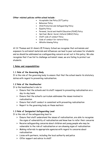#### **Other related policies within school include:**

- Acceptable Use Policy (ICT) policy
- Behaviour Policy
- Child Protection and Safeguarding Policy
- Equality Policy
- Personal, Social and Health Education (PSHE) Policy
- Spiritual, Moral, Social, Cultural (SMSC) Policy
- Staff code of conduct Policy
- Code of conduct for visitors Policy
- Whistle-blowing Policy

At St Thomas and St Anne's CE Primary School we recognise that extremism and exposure to extremist materials and influences can lead to poor outcomes for students and so should be addressed as a safeguarding concern as set out in this policy. We also recognise that if we fail to challenge extremist views, we are failing to protect our students.

#### **1 Roles and responsibilities**

#### **1.1 Role of the Governing Body**

It is the role of the governing body to ensure that that the school meets its statutory duties with regard to preventing radicalisation.

#### **1.2 Role of the Headteacher**

It is the headteacher"s role to:

- $\triangleright$  Ensure that the schools and its staff respond to preventing radicalisation on a day-to-day basis
- $\triangleright$  Ensure that the school's curriculum addresses the issues involved in radicalisation
- $\triangleright$  Ensure that staff conduct is consistent with preventing radicalisation
- $\triangleright$  Report to the governing body on these matters

#### **1.3 Role of Designated Safeguarding Lead**

It is the role of the safeguarding lead to:

- $\triangleright$  Ensure that staff understand the issues of radicalisation, are able to recognise the signs of vulnerability of radicalisation and know how to refer their concerns
- $\triangleright$  Receive safeguarding concerns about children and young people who may be vulnerable to the risk of radicalisation or are showing signs of radicalisation
- $\triangleright$  Making referrals to appropriate agencies with regard to concerns about radicalisation
- $\triangleright$  Liaise with partners, including the local authority and police
- $\triangleright$  Offer support and advice to staff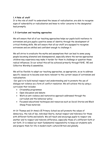### **1.4 Role of staff**

It is the role of staff to understand the issues of radicalisation, are able to recognise signs of vulnerability or radicalisation and know to refer concerns to the designated lead promptly.

#### **1.5 Curriculum and teaching approaches**

We will ensure that all of our teaching approaches helps our pupils build resilience to extremism and give pupils a positive sense of identity through the development of critical thinking skills. We will ensure that all our staff are equipped to recognise extremism and are skilled and confident enough to challenge it.

We will strive to eradicate the myths and assumptions that can lead to some young people becoming alienated and disempowered, especially where the narrow approaches children may experience may make it harder for them to challenge or question these radical influences. In our school this will be achieved primarily through PSHE, RE and Collective Worship & assemblies.

We will be flexible to adapt our teaching approaches, as appropriate, so as to address specific issues as to become even more relevant to the current issues of extremism and radicalisation.

Our goal is to build mutual respect and understanding and to promote the use of dialogue not violence as a form of conflict resolution. We will achieve this by using a curriculum that includes:

- Citizenship programmes
- Open discussion and debate
- Work on anti-violence and restorative approach addressed through the curriculum and the behaviour policy
- Focussed educational techniques and resources such as Social Stories and Black Sheep Press materials

At St Thomas and St Anne"s CE Primary School we will promote the values of democracy, the rule of law, individual liberty, mutual respect and tolerance for those with different faiths and beliefs. We will teach and encourage pupils to respect one another and to respect and tolerate difference, especially those of a different faith or not faith. It is indeed our most fundamental responsibility to keep out students safe and prepare them for life in modern multi-cultural Britain and globally.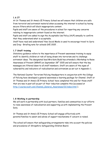### **1.6 IT**

At St Thomas and St Anne"s CE Primary School we will ensure that children are safe from terrorist and extremist material when accessing the internet in school by having secure filters which will block inappropriate content.

Pupils and staff are aware of the procedures in school for reporting any concerns relating to inappropriate content found on the internet.

Pupils and staff are asked to sign the Acceptable Use Policy (AUP) annually to confirm that they understand what is acceptable.

Staff have read and understand "How Social Media is used to encourage travel to Syria and Iraq – Briefing note for schools DfE 2015" .

#### **1.7 Staff training**

Statutory guidance refers to the importance of Prevent awareness training to equip staff to identify children at risk of being drawn into terrorism and to challenge extremist ideas. The designated lead Mrs Kate Budd has attended a Workshop to Raise Awareness of Prevent (WRAP) on September  $28<sup>th</sup>$  2015 and will ensure that the key messages are filtered down to all staff members. Staff are aware of the signs of vulnerability and indicators of radicalisation and extremism as set out in Appendix 1.

The National Counter Terrorism Policing Headquarters in conjunction with the College of Policing have developed a general awareness e-learning package for Channel. Staff at St Thomas and St Anne"s CE Primary School have completed this and for those staff that are new in post will as part of their induction complete this (accessed at [http://course.ncalt.com/Channel\\_General\\_Awareness/01/index.html](http://course.ncalt.com/Channel_General_Awareness/01/index.html) ).

#### **1.8 Working in partnership**

We will work in partnership with local partners, families and communities in our efforts to raise awareness of radicalisation and supporting us with implementing the Prevent Duty.

St Thomas and St Anne"s CE Primary School will engage effectively with parents/families to assist and advise of support mechanisms if concern is raised.

The school will ensure that safeguarding arrangements take into account the policies and procedures of Shropshire Safeguarding Children Board.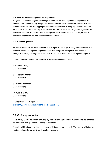#### **1.9 Use of external agencies and speakers**

At [insert school name] we encourage the use of external agencies or speakers to enrich the experiences of our pupils. We will ensure that any visitor coming into the school has been "checked" appropriately in accordance with Keeping Children Safe in Education 2015. Such vetting is to ensure that we do not unwittingly use agencies that contradict each other with their messages or that are inconsistent with, or are in complete opposition to, the schools values and ethos.

#### **2.0 Referral process**

If a member of staff has a concern about a particular pupil/s they should follow the school"s normal safeguarding procedures, including discussing with the school"s designated safeguarding lead as set out in the Child Protection/safeguarding policy.

The designated lead should contact West Mercia Prevent Team:

DS Phillip Colley 01386 591835

DC Jamma Greenow 01386 591825

DC Gary Shepheard 01386 591816

PC Manjit Sidhu 01386 591815

The Prevent Team email is: [prevent@warwickshireandwestmercia.pnn.police.uk](mailto:prevent@warwickshireandwestmercia.pnn.police.uk)

#### **3.0 Monitoring and review**

This policy will be reviewed annually by the Governing body but may need to be adapted as and when new guidance or policy is released.

Parents will be issued with a hard copy of this policy on request. This policy will also be made available to parents via the school website.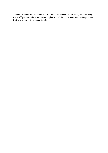The Headteacher will actively evaluate the effectiveness of this policy by monitoring the staff group"s understanding and application of the procedures within this policy as their overall duty to safeguard children.